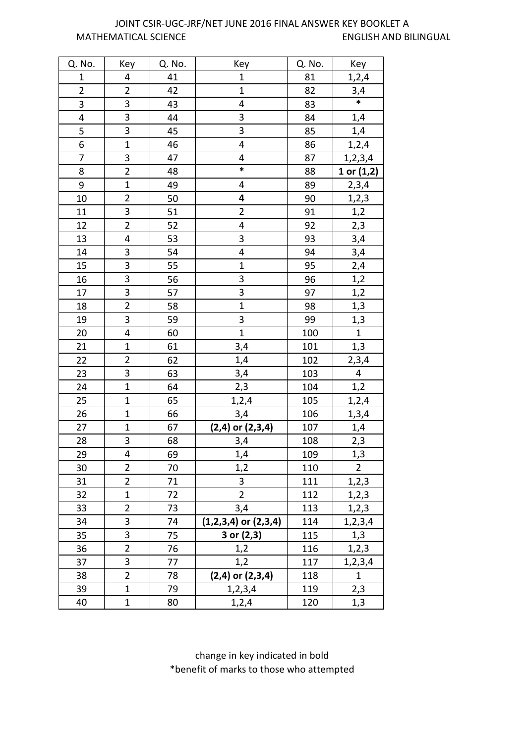## MATHEMATICAL SCIENCE ENGLISH AND BILINGUAL JOINT CSIR-UGC-JRF/NET JUNE 2016 FINAL ANSWER KEY BOOKLET A

| Q. No.         | Key                     | Q. No. | Key                      | Q. No. | Key                     |
|----------------|-------------------------|--------|--------------------------|--------|-------------------------|
| $\mathbf 1$    | 4                       | 41     | $\mathbf{1}$             | 81     | 1, 2, 4                 |
| $\overline{2}$ | $\overline{2}$          | 42     | $\overline{1}$           | 82     | $\frac{3,4}{*}$         |
| $\overline{3}$ | 3                       | 43     | $\overline{\mathbf{4}}$  | 83     |                         |
| 4              | 3                       | 44     | 3                        | 84     | 1,4                     |
| 5              | 3                       | 45     | 3                        | 85     | 1,4                     |
| 6              | $\overline{1}$          | 46     | 4                        | 86     | 1,2,4                   |
| $\overline{7}$ | 3                       | 47     | 4                        | 87     | 1, 2, 3, 4              |
| 8              | $\overline{2}$          | 48     | $\ast$                   | 88     | 1 or $(1,2)$            |
| 9              | $\mathbf 1$             | 49     | 4                        | 89     | 2,3,4                   |
| 10             | $\overline{2}$          | 50     | 4                        | 90     | 1, 2, 3                 |
| 11             | 3                       | 51     | $\overline{2}$           | 91     | 1,2                     |
| 12             | $\overline{2}$          | 52     | 4                        | 92     | 2,3                     |
| 13             | 4                       | 53     | 3                        | 93     | 3,4                     |
| 14             | 3                       | 54     | 4                        | 94     | 3,4                     |
| 15             | 3                       | 55     | $\mathbf 1$              | 95     | 2,4                     |
| 16             | $\overline{3}$          | 56     | 3                        | 96     | 1,2                     |
| 17             | 3                       | 57     | $\overline{\mathbf{3}}$  | 97     | 1,2                     |
| 18             | $\overline{2}$          | 58     | $\overline{1}$           | 98     | 1,3                     |
| 19             | 3                       | 59     | 3                        | 99     | 1,3                     |
| 20             | $\overline{\mathbf{r}}$ | 60     | $\overline{1}$           | 100    | $\mathbf{1}$            |
| 21             | $\mathbf{1}$            | 61     | 3,4                      | 101    | 1,3                     |
| 22             | $\overline{2}$          | 62     | 1,4                      | 102    | 2,3,4                   |
| 23             | 3                       | 63     | 3,4                      | 103    | $\overline{\mathbf{4}}$ |
| 24             | $\overline{1}$          | 64     | 2,3                      | 104    | 1,2                     |
| 25             | $\mathbf{1}$            | 65     | 1, 2, 4                  | 105    | 1,2,4                   |
| 26             | $\mathbf{1}$            | 66     | 3,4                      | 106    | 1, 3, 4                 |
| 27             | $\mathbf{1}$            | 67     | $(2,4)$ or $(2,3,4)$     | 107    | 1,4                     |
| 28             | 3                       | 68     | 3,4                      | 108    | 2,3                     |
| 29             | $\overline{\mathbf{4}}$ | 69     | 1,4                      | 109    | $\overline{1,3}$        |
| 30             | $\overline{2}$          | 70     | 1,2                      | 110    | $\overline{2}$          |
| 31             | $\overline{2}$          | 71     | 3                        | 111    | 1, 2, 3                 |
| 32             | $\mathbf{1}$            | 72     | $\overline{2}$           | 112    | 1, 2, 3                 |
| 33             | $\overline{2}$          | 73     | 3,4                      | 113    | 1, 2, 3                 |
| 34             | 3                       | 74     | $(1,2,3,4)$ or $(2,3,4)$ | 114    | 1,2,3,4                 |
| 35             | 3                       | 75     | 3 or (2,3)               | 115    | 1,3                     |
| 36             | $\overline{2}$          | 76     | 1,2                      | 116    | 1, 2, 3                 |
| 37             | 3                       | 77     | 1,2                      | 117    | 1,2,3,4                 |
| 38             | $\overline{2}$          | 78     | $(2,4)$ or $(2,3,4)$     | 118    | $\mathbf{1}$            |
| 39             | $\mathbf{1}$            | 79     | 1,2,3,4                  | 119    | 2,3                     |
| 40             | $\mathbf{1}$            | 80     | 1,2,4                    | 120    | 1,3                     |

change in key indicated in bold \*benefit of marks to those who attempted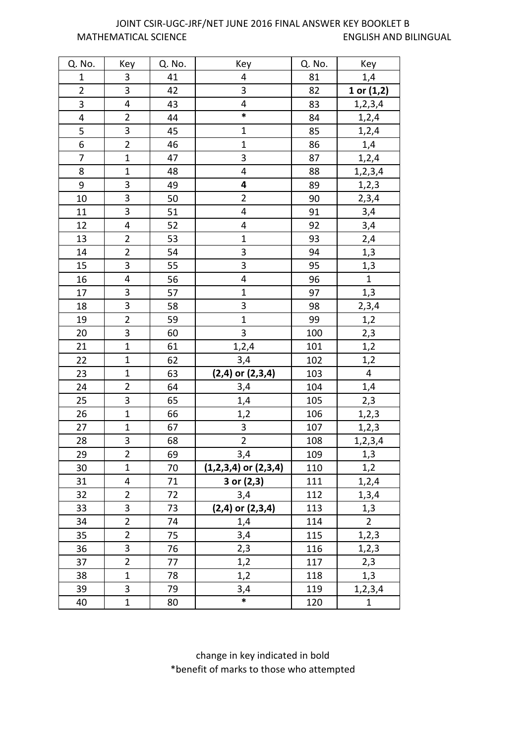## MATHEMATICAL SCIENCE ENGLISH AND BILINGUAL JOINT CSIR-UGC-JRF/NET JUNE 2016 FINAL ANSWER KEY BOOKLET B

| Q. No.                  | Key                     | Q. No. | Key                      | Q. No. | Key                     |
|-------------------------|-------------------------|--------|--------------------------|--------|-------------------------|
| $\mathbf 1$             | $\mathbf{3}$            | 41     | 4                        | 81     | 1,4                     |
| $\overline{2}$          | $\overline{3}$          | 42     | 3                        | 82     | 1 or (1,2)              |
| 3                       | $\overline{\mathbf{4}}$ | 43     | $\overline{\mathbf{4}}$  | 83     | 1, 2, 3, 4              |
| $\overline{\mathbf{4}}$ | $\overline{2}$          | 44     | $\ast$                   | 84     | 1,2,4                   |
| 5                       | 3                       | 45     | $\mathbf{1}$             | 85     | 1, 2, 4                 |
| 6                       | $\overline{2}$          | 46     | $\overline{1}$           | 86     | 1,4                     |
| $\overline{7}$          | $\overline{1}$          | 47     | 3                        | 87     | 1,2,4                   |
| 8                       | $\mathbf{1}$            | 48     | $\overline{\mathbf{4}}$  | 88     | 1, 2, 3, 4              |
| 9                       | 3                       | 49     | 4                        | 89     | 1, 2, 3                 |
| 10                      | $\overline{3}$          | 50     | $\overline{2}$           | 90     | 2,3,4                   |
| 11                      | 3                       | 51     | 4                        | 91     | 3,4                     |
| 12                      | $\overline{\mathbf{4}}$ | 52     | 4                        | 92     | 3,4                     |
| 13                      | $\overline{2}$          | 53     | $\overline{1}$           | 93     | 2,4                     |
| 14                      | $\overline{2}$          | 54     | $\overline{3}$           | 94     | 1,3                     |
| 15                      | 3                       | 55     | $\overline{3}$           | 95     | 1,3                     |
| 16                      | $\overline{\mathbf{4}}$ | 56     | 4                        | 96     | $\mathbf{1}$            |
| 17                      | $\overline{\mathbf{3}}$ | 57     | $\overline{1}$           | 97     | 1,3                     |
| 18                      | 3                       | 58     | 3                        | 98     | 2,3,4                   |
| 19                      | $\overline{2}$          | 59     | $\overline{1}$           | 99     | 1,2                     |
| 20                      | $\overline{3}$          | 60     | $\overline{3}$           | 100    | 2,3                     |
| 21                      | $\mathbf{1}$            | 61     | 1, 2, 4                  | 101    | 1,2                     |
| 22                      | $\overline{1}$          | 62     | 3,4                      | 102    | 1,2                     |
| 23                      | $\mathbf{1}$            | 63     | $(2,4)$ or $(2,3,4)$     | 103    | $\overline{\mathbf{4}}$ |
| 24                      | $\overline{2}$          | 64     | 3,4                      | 104    | 1,4                     |
| 25                      | $\overline{\mathbf{3}}$ | 65     | 1,4                      | 105    | 2,3                     |
| 26                      | $\mathbf{1}$            | 66     | 1,2                      | 106    | 1, 2, 3                 |
| 27                      | $\mathbf{1}$            | 67     | $\overline{3}$           | 107    | 1, 2, 3                 |
| 28                      | 3                       | 68     | $\overline{2}$           | 108    | 1, 2, 3, 4              |
| 29                      | $\overline{2}$          | 69     | 3,4                      | 109    | 1,3                     |
| 30                      | $\mathbf{1}$            | 70     | $(1,2,3,4)$ or $(2,3,4)$ | 110    | 1,2                     |
| 31                      | 4                       | 71     | 3 or $(2,3)$             | 111    | 1,2,4                   |
| 32                      | $\overline{2}$          | 72     | 3,4                      | 112    | 1, 3, 4                 |
| 33                      | 3                       | 73     | $(2,4)$ or $(2,3,4)$     | 113    | 1,3                     |
| 34                      | $\overline{2}$          | 74     | 1,4                      | 114    | $\overline{2}$          |
| 35                      | $\overline{2}$          | 75     | 3,4                      | 115    | 1,2,3                   |
| 36                      | 3                       | 76     | 2,3                      | 116    | 1,2,3                   |
| 37                      | $\overline{2}$          | 77     | 1,2                      | 117    | 2,3                     |
| 38                      | $\overline{1}$          | 78     | 1,2                      | 118    | 1,3                     |
| 39                      | 3                       | 79     | 3,4                      | 119    | 1, 2, 3, 4              |
| 40                      | $\mathbf{1}$            | 80     | $\ast$                   | 120    | $\mathbf{1}$            |

change in key indicated in bold \*benefit of marks to those who attempted